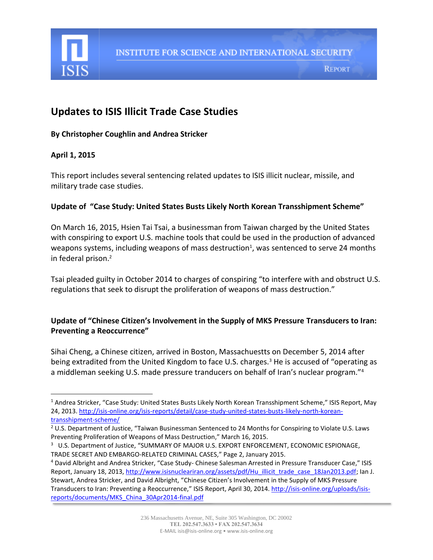

# **Updates to ISIS Illicit Trade Case Studies**

#### **By Christopher Coughlin and Andrea Stricker**

# **April 1, 2015**

l

This report includes several sentencing related updates to ISIS illicit nuclear, missile, and military trade case studies.

# **Update of "Case Study: United States Busts Likely North Korean Transshipment Scheme"**

On March 16, 2015, Hsien Tai Tsai, a businessman from Taiwan charged by the United States with conspiring to export U.S. machine tools that could be used in the production of advanced weapons systems, including weapons of mass destruction<sup>1</sup>, was sentenced to serve 24 months in federal prison.<sup>2</sup>

Tsai pleaded guilty in October 2014 to charges of conspiring "to interfere with and obstruct U.S. regulations that seek to disrupt the proliferation of weapons of mass destruction."

# **Update of "Chinese Citizen's Involvement in the Supply of MKS Pressure Transducers to Iran: Preventing a Reoccurrence"**

Sihai Cheng, a Chinese citizen, arrived in Boston, Massachuestts on December 5, 2014 after being extradited from the United Kingdom to face U.S. charges.<sup>3</sup> He is accused of "operating as a middleman seeking U.S. made pressure tranducers on behalf of Iran's nuclear program."<sup>4</sup>

<sup>1</sup> Andrea Stricker, "Case Study: United States Busts Likely North Korean Transshipment Scheme," ISIS Report, May 24, 2013. [http://isis-online.org/isis-reports/detail/case-study-united-states-busts-likely-north-korean](http://isis-online.org/isis-reports/detail/case-study-united-states-busts-likely-north-korean-transshipment-scheme/)[transshipment-scheme/](http://isis-online.org/isis-reports/detail/case-study-united-states-busts-likely-north-korean-transshipment-scheme/)

<sup>&</sup>lt;sup>2</sup> U.S. Department of Justice, "Taiwan Businessman Sentenced to 24 Months for Conspiring to Violate U.S. Laws Preventing Proliferation of Weapons of Mass Destruction," March 16, 2015.

<sup>&</sup>lt;sup>3</sup> U.S. Department of Justice, "SUMMARY OF MAJOR U.S. EXPORT ENFORCEMENT, ECONOMIC ESPIONAGE, TRADE SECRET AND EMBARGO-RELATED CRIMINAL CASES," Page 2, January 2015.

<sup>4</sup> David Albright and Andrea Stricker, "Case Study- Chinese Salesman Arrested in Pressure Transducer Case," ISIS Report, January 18, 2013, [http://www.isisnucleariran.org/assets/pdf/Hu\\_illicit\\_trade\\_case\\_18Jan2013.pdf;](http://www.isisnucleariran.org/assets/pdf/Hu_illicit_trade_case_18Jan2013.pdf) Ian J. Stewart, Andrea Stricker, and David Albright, "Chinese Citizen's Involvement in the Supply of MKS Pressure Transducers to Iran: Preventing a Reoccurrence," ISIS Report, April 30, 2014. [http://isis-online.org/uploads/isis](http://isis-online.org/uploads/isis-reports/documents/MKS_China_30Apr2014-final.pdf)[reports/documents/MKS\\_China\\_30Apr2014-final.pdf](http://isis-online.org/uploads/isis-reports/documents/MKS_China_30Apr2014-final.pdf)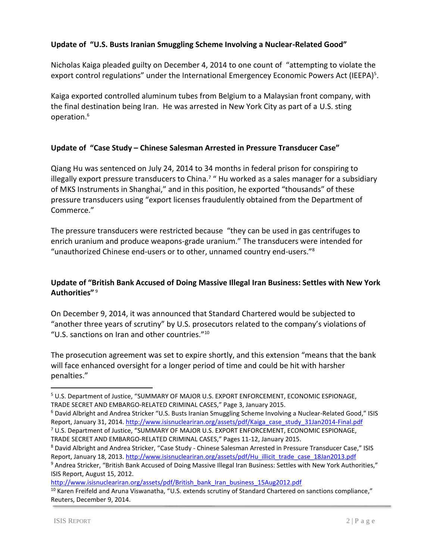#### **Update of "U.S. Busts Iranian Smuggling Scheme Involving a Nuclear-Related Good"**

Nicholas Kaiga pleaded guilty on December 4, 2014 to one count of "attempting to violate the export control regulations" under the International Emergencey Economic Powers Act (IEEPA)<sup>5</sup>.

Kaiga exported controlled aluminum tubes from Belgium to a Malaysian front company, with the final destination being Iran. He was arrested in New York City as part of a U.S. sting operation.<sup>6</sup>

#### **Update of "Case Study – Chinese Salesman Arrested in Pressure Transducer Case"**

Qiang Hu was sentenced on July 24, 2014 to 34 months in federal prison for conspiring to illegally export pressure transducers to China.<sup>7</sup> " Hu worked as a sales manager for a subsidiary of MKS Instruments in Shanghai," and in this position, he exported "thousands" of these pressure transducers using "export licenses fraudulently obtained from the Department of Commerce."

The pressure transducers were restricted because "they can be used in gas centrifuges to enrich uranium and produce weapons-grade uranium." The transducers were intended for "unauthorized Chinese end-users or to other, unnamed country end-users."<sup>8</sup>

# **Update of "British Bank Accused of Doing Massive Illegal Iran Business: Settles with New York Authorities"** <sup>9</sup>

On December 9, 2014, it was announced that Standard Chartered would be subjected to "another three years of scrutiny" by U.S. prosecutors related to the company's violations of "U.S. sanctions on Iran and other countries."<sup>10</sup>

The prosecution agreement was set to expire shortly, and this extension "means that the bank will face enhanced oversight for a longer period of time and could be hit with harsher penalties."

<sup>8</sup> David Albright and Andrea Stricker, "Case Study - Chinese Salesman Arrested in Pressure Transducer Case," ISIS Report, January 18, 2013. [http://www.isisnucleariran.org/assets/pdf/Hu\\_illicit\\_trade\\_case\\_18Jan2013.pdf](http://www.isisnucleariran.org/assets/pdf/Hu_illicit_trade_case_18Jan2013.pdf)

<sup>9</sup> Andrea Stricker, "British Bank Accused of Doing Massive Illegal Iran Business: Settles with New York Authorities," ISIS Report, August 15, 2012.

[http://www.isisnucleariran.org/assets/pdf/British\\_bank\\_Iran\\_business\\_15Aug2012.pdf](http://www.isisnucleariran.org/assets/pdf/British_bank_Iran_business_15Aug2012.pdf)

 $\overline{\phantom{a}}$ 

<sup>5</sup> U.S. Department of Justice, "SUMMARY OF MAJOR U.S. EXPORT ENFORCEMENT, ECONOMIC ESPIONAGE, TRADE SECRET AND EMBARGO-RELATED CRIMINAL CASES," Page 3, January 2015.

<sup>6</sup> David Albright and Andrea Stricker "U.S. Busts Iranian Smuggling Scheme Involving a Nuclear-Related Good," ISIS Report, January 31, 2014. [http://www.isisnucleariran.org/assets/pdf/Kaiga\\_case\\_study\\_31Jan2014-Final.pdf](http://www.isisnucleariran.org/assets/pdf/Kaiga_case_study_31Jan2014-Final.pdf) <sup>7</sup> U.S. Department of Justice, "SUMMARY OF MAJOR U.S. EXPORT ENFORCEMENT, ECONOMIC ESPIONAGE,

TRADE SECRET AND EMBARGO-RELATED CRIMINAL CASES," Pages 11-12, January 2015.

 $10$  Karen Freifeld and Aruna Viswanatha, "U.S. extends scrutiny of Standard Chartered on sanctions compliance," Reuters, December 9, 2014.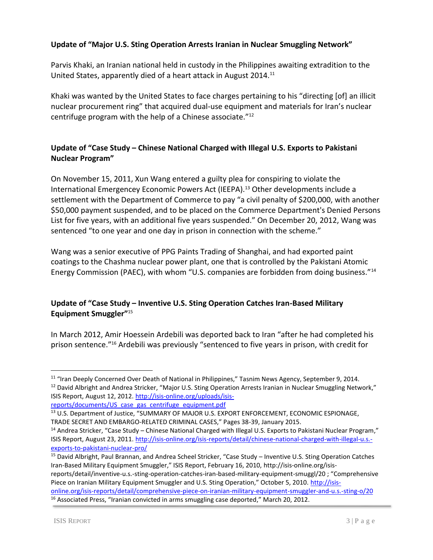#### **Update of "Major U.S. Sting Operation Arrests Iranian in Nuclear Smuggling Network"**

Parvis Khaki, an Iranian national held in custody in the Philippines awaiting extradition to the United States, apparently died of a heart attack in August 2014.<sup>11</sup>

Khaki was wanted by the United States to face charges pertaining to his "directing [of] an illicit nuclear procurement ring" that acquired dual-use equipment and materials for Iran's nuclear centrifuge program with the help of a Chinese associate."<sup>12</sup>

# **Update of "Case Study – Chinese National Charged with Illegal U.S. Exports to Pakistani Nuclear Program"**

On November 15, 2011, Xun Wang entered a guilty plea for conspiring to violate the International Emergencey Economic Powers Act (IEEPA).<sup>13</sup> Other developments include a settlement with the Department of Commerce to pay "a civil penalty of \$200,000, with another \$50,000 payment suspended, and to be placed on the Commerce Department's Denied Persons List for five years, with an additional five years suspended." On December 20, 2012, Wang was sentenced "to one year and one day in prison in connection with the scheme."

Wang was a senior executive of PPG Paints Trading of Shanghai, and had exported paint coatings to the Chashma nuclear power plant, one that is controlled by the Pakistani Atomic Energy Commission (PAEC), with whom "U.S. companies are forbidden from doing business."<sup>14</sup>

# **Update of "Case Study – Inventive U.S. Sting Operation Catches Iran-Based Military Equipment Smuggler"**<sup>15</sup>

In March 2012, Amir Hoessein Ardebili was deported back to Iran "after he had completed his prison sentence."<sup>16</sup> Ardebili was previously "sentenced to five years in prison, with credit for

<sup>15</sup> David Albright, Paul Brannan, and Andrea Scheel Stricker, "Case Study – Inventive U.S. Sting Operation Catches Iran-Based Military Equipment Smuggler," ISIS Report, February 16, 2010, http://isis-online.org/isisreports/detail/inventive-u.s.-sting-operation-catches-iran-based-military-equipment-smuggl/20 ; "Comprehensive Piece on Iranian Military Equipment Smuggler and U.S. Sting Operation," October 5, 2010. [http://isis](http://isis-online.org/isis-reports/detail/comprehensive-piece-on-iranian-military-equipment-smuggler-and-u.s.-sting-o/20)[online.org/isis-reports/detail/comprehensive-piece-on-iranian-military-equipment-smuggler-and-u.s.-sting-o/20](http://isis-online.org/isis-reports/detail/comprehensive-piece-on-iranian-military-equipment-smuggler-and-u.s.-sting-o/20)  $16$  Associated Press, "Iranian convicted in arms smuggling case deported," March 20, 2012.

l

<sup>&</sup>lt;sup>11</sup> "Iran Deeply Concerned Over Death of National in Philippines," Tasnim News Agency, September 9, 2014. <sup>12</sup> David Albright and Andrea Stricker, "Major U.S. Sting Operation Arrests Iranian in Nuclear Smuggling Network," ISIS Report, August 12, 2012[. http://isis-online.org/uploads/isis](http://isis-online.org/uploads/isis-reports/documents/US_case_gas_centrifuge_equipment.pdf)[reports/documents/US\\_case\\_gas\\_centrifuge\\_equipment.pdf](http://isis-online.org/uploads/isis-reports/documents/US_case_gas_centrifuge_equipment.pdf)

<sup>13</sup> U.S. Department of Justice, "SUMMARY OF MAJOR U.S. EXPORT ENFORCEMENT, ECONOMIC ESPIONAGE, TRADE SECRET AND EMBARGO-RELATED CRIMINAL CASES," Pages 38-39, January 2015.

<sup>14</sup> Andrea Stricker, "Case Study – Chinese National Charged with Illegal U.S. Exports to Pakistani Nuclear Program," ISIS Report, August 23, 2011[. http://isis-online.org/isis-reports/detail/chinese-national-charged-with-illegal-u.s.](http://isis-online.org/isis-reports/detail/chinese-national-charged-with-illegal-u.s.-exports-to-pakistani-nuclear-pro/) [exports-to-pakistani-nuclear-pro/](http://isis-online.org/isis-reports/detail/chinese-national-charged-with-illegal-u.s.-exports-to-pakistani-nuclear-pro/)